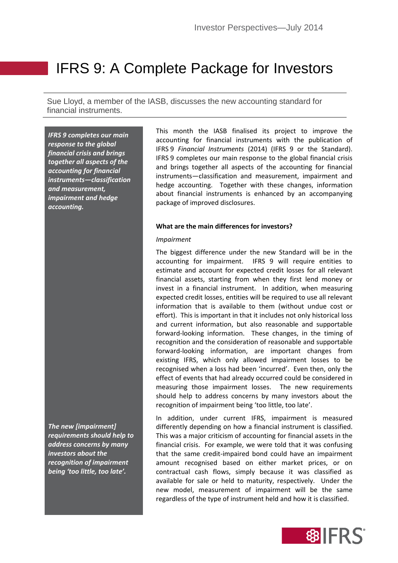# IFRS 9: A Complete Package for Investors

Sue Lloyd, a member of the IASB, discusses the new accounting standard for financial instruments.

*IFRS 9 completes our main response to the global financial crisis and brings together all aspects of the accounting for financial instruments—classification and measurement, impairment and hedge accounting.* 

*The new [impairment] requirements should help to address concerns by many investors about the recognition of impairment being 'too little, too late'.*

This month the IASB finalised its project to improve the accounting for financial instruments with the publication of IFRS 9 *Financial Instruments* (2014) (IFRS 9 or the Standard). IFRS 9 completes our main response to the global financial crisis and brings together all aspects of the accounting for financial instruments—classification and measurement, impairment and hedge accounting. Together with these changes, information about financial instruments is enhanced by an accompanying package of improved disclosures.

# **What are the main differences for investors?**

### *Impairment*

The biggest difference under the new Standard will be in the accounting for impairment. IFRS 9 will require entities to estimate and account for expected credit losses for all relevant financial assets, starting from when they first lend money or invest in a financial instrument. In addition, when measuring expected credit losses, entities will be required to use all relevant information that is available to them (without undue cost or effort). This is important in that it includes not only historical loss and current information, but also reasonable and supportable forward-looking information. These changes, in the timing of recognition and the consideration of reasonable and supportable forward-looking information, are important changes from existing IFRS, which only allowed impairment losses to be recognised when a loss had been 'incurred'. Even then, only the effect of events that had already occurred could be considered in measuring those impairment losses. The new requirements should help to address concerns by many investors about the recognition of impairment being 'too little, too late'.

In addition, under current IFRS, impairment is measured differently depending on how a financial instrument is classified. This was a major criticism of accounting for financial assets in the financial crisis. For example, we were told that it was confusing that the same credit-impaired bond could have an impairment amount recognised based on either market prices, or on contractual cash flows, simply because it was classified as available for sale or held to maturity, respectively. Under the new model, measurement of impairment will be the same regardless of the type of instrument held and how it is classified.

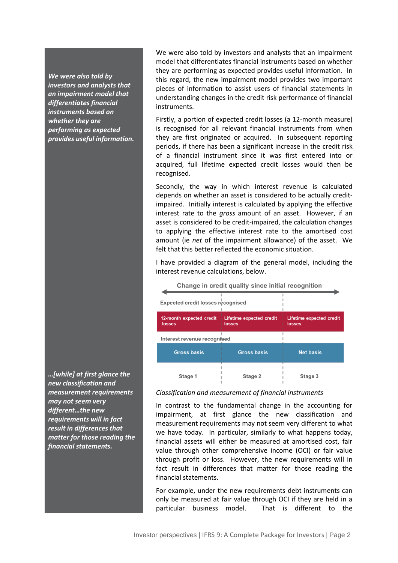*We were also told by investors and analysts that an impairment model that differentiates financial instruments based on whether they are performing as expected provides useful information.*

*…[while] at first glance the new classification and measurement requirements may not seem very different…the new requirements will in fact result in differences that matter for those reading the financial statements.* 

We were also told by investors and analysts that an impairment model that differentiates financial instruments based on whether they are performing as expected provides useful information. In this regard, the new impairment model provides two important pieces of information to assist users of financial statements in understanding changes in the credit risk performance of financial instruments.

Firstly, a portion of expected credit losses (a 12-month measure) is recognised for all relevant financial instruments from when they are first originated or acquired. In subsequent reporting periods, if there has been a significant increase in the credit risk of a financial instrument since it was first entered into or acquired, full lifetime expected credit losses would then be recognised.

Secondly, the way in which interest revenue is calculated depends on whether an asset is considered to be actually creditimpaired. Initially interest is calculated by applying the effective interest rate to the *gross* amount of an asset. However, if an asset is considered to be credit-impaired, the calculation changes to applying the effective interest rate to the amortised cost amount (ie *net* of the impairment allowance) of the asset. We felt that this better reflected the economic situation.

I have provided a diagram of the general model, including the interest revenue calculations, below.

| Change in credit quality since initial recognition |                                                  |                                                  |  |  |  |
|----------------------------------------------------|--------------------------------------------------|--------------------------------------------------|--|--|--|
| Expected credit losses recognised                  |                                                  |                                                  |  |  |  |
| 12-month expected credit<br>losses                 | <b>Lifetime expected credit</b><br><b>losses</b> | <b>Lifetime expected credit</b><br><b>losses</b> |  |  |  |
| Interest revenue recognised                        |                                                  |                                                  |  |  |  |
| <b>Gross basis</b>                                 | <b>Gross basis</b>                               | <b>Net basis</b>                                 |  |  |  |
| Stage 1                                            | Stage 2                                          | Stage 3                                          |  |  |  |

### *Classification and measurement of financial instruments*

In contrast to the fundamental change in the accounting for impairment, at first glance the new classification and measurement requirements may not seem very different to what we have today. In particular, similarly to what happens today, financial assets will either be measured at amortised cost, fair value through other comprehensive income (OCI) or fair value through profit or loss. However, the new requirements will in fact result in differences that matter for those reading the financial statements.

For example, under the new requirements debt instruments can only be measured at fair value through OCI if they are held in a particular business model. That is different to the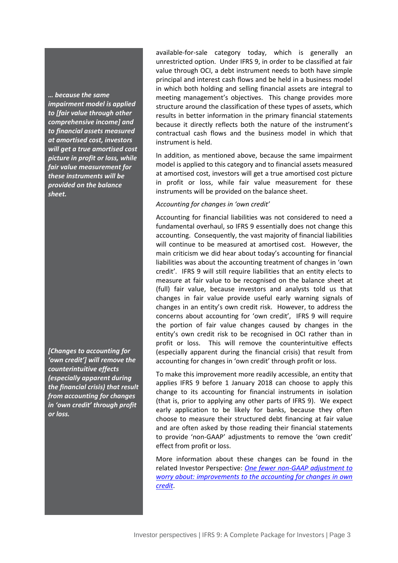*… because the same impairment model is applied to [fair value through other comprehensive income] and to financial assets measured at amortised cost, investors will get a true amortised cost picture in profit or loss, while fair value measurement for these instruments will be provided on the balance sheet.* 

*[Changes to accounting for 'own credit'] will remove the counterintuitive effects (especially apparent during the financial crisis) that result from accounting for changes in 'own credit' through profit or loss.*

available-for-sale category today, which is generally an unrestricted option. Under IFRS 9, in order to be classified at fair value through OCI, a debt instrument needs to both have simple principal and interest cash flows and be held in a business model in which both holding and selling financial assets are integral to meeting management's objectives. This change provides more structure around the classification of these types of assets, which results in better information in the primary financial statements because it directly reflects both the nature of the instrument's contractual cash flows and the business model in which that instrument is held.

In addition, as mentioned above, because the same impairment model is applied to this category and to financial assets measured at amortised cost, investors will get a true amortised cost picture in profit or loss, while fair value measurement for these instruments will be provided on the balance sheet.

# *Accounting for changes in 'own credit'*

Accounting for financial liabilities was not considered to need a fundamental overhaul, so IFRS 9 essentially does not change this accounting. Consequently, the vast majority of financial liabilities will continue to be measured at amortised cost. However, the main criticism we did hear about today's accounting for financial liabilities was about the accounting treatment of changes in 'own credit'. IFRS 9 will still require liabilities that an entity elects to measure at fair value to be recognised on the balance sheet at (full) fair value, because investors and analysts told us that changes in fair value provide useful early warning signals of changes in an entity's own credit risk. However, to address the concerns about accounting for 'own credit', IFRS 9 will require the portion of fair value changes caused by changes in the entity's own credit risk to be recognised in OCI rather than in profit or loss. This will remove the counterintuitive effects (especially apparent during the financial crisis) that result from accounting for changes in 'own credit' through profit or loss.

To make this improvement more readily accessible, an entity that applies IFRS 9 before 1 January 2018 can choose to apply this change to its accounting for financial instruments in isolation (that is, prior to applying any other parts of IFRS 9). We expect early application to be likely for banks, because they often choose to measure their structured debt financing at fair value and are often asked by those reading their financial statements to provide 'non-GAAP' adjustments to remove the 'own credit' effect from profit or loss.

More information about these changes can be found in the related Investor Perspective: *[One fewer non-GAAP adjustment to](http://www.ifrs.org/Investor-resources/2014-Investor-Perspectives/Pages/One-fewer-non-GAAP-adjustment-to-worry-about-March-2014.aspx)  [worry about: improvements to the accounting for changes in own](http://www.ifrs.org/Investor-resources/2014-Investor-Perspectives/Pages/One-fewer-non-GAAP-adjustment-to-worry-about-March-2014.aspx)  [credit](http://www.ifrs.org/Investor-resources/2014-Investor-Perspectives/Pages/One-fewer-non-GAAP-adjustment-to-worry-about-March-2014.aspx)*.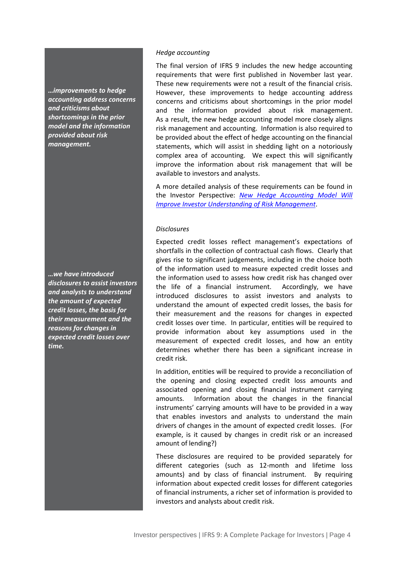*…improvements to hedge accounting address concerns and criticisms about shortcomings in the prior model and the information provided about risk management.*

*…we have introduced disclosures to assist investors and analysts to understand the amount of expected credit losses, the basis for their measurement and the reasons for changes in expected credit losses over time.*

# *Hedge accounting*

The final version of IFRS 9 includes the new hedge accounting requirements that were first published in November last year. These new requirements were not a result of the financial crisis. However, these improvements to hedge accounting address concerns and criticisms about shortcomings in the prior model and the information provided about risk management. As a result, the new hedge accounting model more closely aligns risk management and accounting. Information is also required to be provided about the effect of hedge accounting on the financial statements, which will assist in shedding light on a notoriously complex area of accounting. We expect this will significantly improve the information about risk management that will be available to investors and analysts.

A more detailed analysis of these requirements can be found in the Investor Perspective: *[New Hedge Accounting Model Will](http://www.ifrs.org/Investor-resources/2014-Investor-Perspectives/Pages/Hedge-Accounting-June-2014.aspx)  [Improve Investor Understanding](http://www.ifrs.org/Investor-resources/2014-Investor-Perspectives/Pages/Hedge-Accounting-June-2014.aspx) of Risk Management*.

# *Disclosures*

Expected credit losses reflect management's expectations of shortfalls in the collection of contractual cash flows. Clearly that gives rise to significant judgements, including in the choice both of the information used to measure expected credit losses and the information used to assess how credit risk has changed over the life of a financial instrument. Accordingly, we have introduced disclosures to assist investors and analysts to understand the amount of expected credit losses, the basis for their measurement and the reasons for changes in expected credit losses over time. In particular, entities will be required to provide information about key assumptions used in the measurement of expected credit losses, and how an entity determines whether there has been a significant increase in credit risk.

In addition, entities will be required to provide a reconciliation of the opening and closing expected credit loss amounts and associated opening and closing financial instrument carrying amounts. Information about the changes in the financial instruments' carrying amounts will have to be provided in a way that enables investors and analysts to understand the main drivers of changes in the amount of expected credit losses. (For example, is it caused by changes in credit risk or an increased amount of lending?)

These disclosures are required to be provided separately for different categories (such as 12-month and lifetime loss amounts) and by class of financial instrument. By requiring information about expected credit losses for different categories of financial instruments, a richer set of information is provided to investors and analysts about credit risk.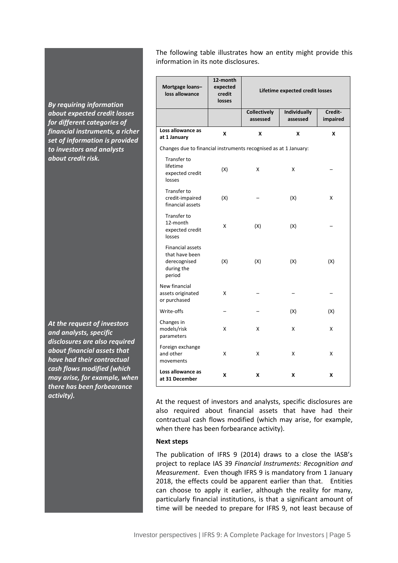*By requiring information about expected credit losses for different categories of financial instruments, a richer set of information is provided to investors and analysts about credit risk.* 

*At the request of investors and analysts, specific disclosures are also required about financial assets that have had their contractual cash flows modified (which may arise, for example, when there has been forbearance activity).*

The following table illustrates how an entity might provide this information in its note disclosures.

| Mortgage loans-<br>loss allowance                                          | 12-month<br>expected<br>credit<br>losses | Lifetime expected credit losses |                                 |                     |  |
|----------------------------------------------------------------------------|------------------------------------------|---------------------------------|---------------------------------|---------------------|--|
|                                                                            |                                          | <b>Collectively</b><br>assessed | <b>Individually</b><br>assessed | Credit-<br>impaired |  |
| Loss allowance as<br>at 1 January                                          | X                                        | X                               | X                               | X                   |  |
| Changes due to financial instruments recognised as at 1 January:           |                                          |                                 |                                 |                     |  |
| Transfer to<br>lifetime<br>expected credit<br>losses                       | (X)                                      | X                               | X                               |                     |  |
| Transfer to<br>credit-impaired<br>financial assets                         | (X)                                      |                                 | (X)                             | X                   |  |
| Transfer to<br>12-month<br>expected credit<br>losses                       | X                                        | (X)                             | (X)                             |                     |  |
| Financial assets<br>that have been<br>derecognised<br>during the<br>period | (X)                                      | (X)                             | (X)                             | (X)                 |  |
| New financial<br>assets originated<br>or purchased                         | X                                        |                                 |                                 |                     |  |
| Write-offs                                                                 |                                          |                                 | (X)                             | (X)                 |  |
| Changes in<br>models/risk<br>parameters                                    | x                                        | Χ                               | X                               | X                   |  |
| Foreign exchange<br>and other<br>movements                                 | x                                        | X                               | x                               | X                   |  |
| Loss allowance as<br>at 31 December                                        | x                                        | x                               | X                               | X                   |  |

At the request of investors and analysts, specific disclosures are also required about financial assets that have had their contractual cash flows modified (which may arise, for example, when there has been forbearance activity).

# **Next steps**

The publication of IFRS 9 (2014) draws to a close the IASB's project to replace IAS 39 *Financial Instruments: Recognition and Measurement*. Even though IFRS 9 is mandatory from 1 January 2018, the effects could be apparent earlier than that. Entities can choose to apply it earlier, although the reality for many, particularly financial institutions, is that a significant amount of time will be needed to prepare for IFRS 9, not least because of